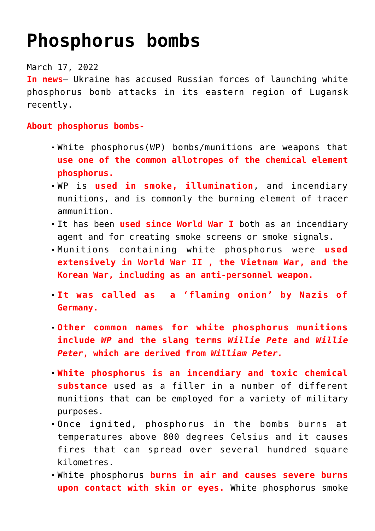# **[Phosphorus bombs](https://journalsofindia.com/phosphorus-bombs/)**

# March 17, 2022

**In news**– Ukraine has accused Russian forces of launching white phosphorus bomb attacks in its eastern region of Lugansk recently.

# **About phosphorus bombs-**

- White phosphorus(WP) bombs/munitions are weapons that **use one of the common allotropes of the chemical element phosphorus.**
- WP is **used in smoke, illumination**, and incendiary munitions, and is commonly the burning element of tracer ammunition.
- It has been **used since World War I** both as an incendiary agent and for creating smoke screens or smoke signals.
- Munitions containing white phosphorus were **used extensively in World War II , the Vietnam War, and the Korean War, including as an anti-personnel weapon.**
- **It was called as a 'flaming onion' by Nazis of Germany.**
- **Other common names for white phosphorus munitions include** *WP* **and the slang terms** *Willie Pete* **and** *Willie Peter***, which are derived from** *William Peter.*
- **White phosphorus is an incendiary and toxic chemical substance** used as a filler in a number of different munitions that can be employed for a variety of military purposes.
- Once ignited, phosphorus in the bombs burns at temperatures above 800 degrees Celsius and it causes fires that can spread over several hundred square kilometres.
- White phosphorus **burns in air and causes severe burns upon contact with skin or eyes.** White phosphorus smoke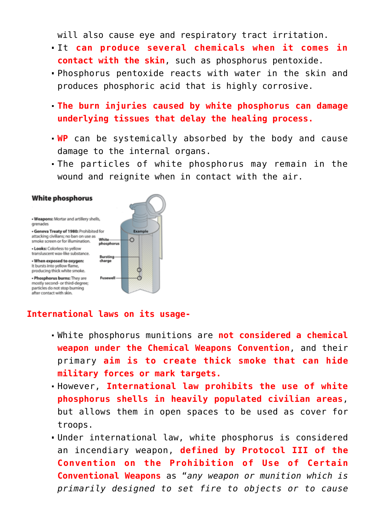will also cause eye and respiratory tract irritation.

- It **can produce several chemicals when it comes in contact with the skin**, such as phosphorus pentoxide.
- Phosphorus pentoxide reacts with water in the skin and produces phosphoric acid that is highly corrosive.
- **The burn injuries caused by white phosphorus can damage underlying tissues that delay the healing process.**
- **WP** can be systemically absorbed by the body and cause damage to the internal organs.
- The particles of white phosphorus may remain in the wound and reignite when in contact with the air.

#### **White phosphorus**

. Weapons: Mortar and artillery shells, grenades · Geneva Treaty of 1980: Prohibited for Example attacking civilians; no ban on use as White smoke screen or for illumination.  $\circ$ phosphorus . Looks: Colorless to vellow transluscent wax-like substance. Bursting - When exposed to oxygen: charge It bursts into yellow flame. Φ producing thick white smoke. . Phosphorus burns: They are Fusewell Ġ mostly second- or third-degree; particles do not stop burning after contact with skin.

### **International laws on its usage-**

- White phosphorus munitions are **not considered a chemical weapon under the Chemical Weapons Convention**, and their primary **aim is to create thick smoke that can hide military forces or mark targets.**
- However, **International law prohibits the use of white phosphorus shells in heavily populated civilian areas**, but allows them in open spaces to be used as cover for troops.
- Under international law, white phosphorus is considered an incendiary weapon, **defined by Protocol III of the Convention on the Prohibition of Use of Certain Conventional Weapons** as "*any weapon or munition which is primarily designed to set fire to objects or to cause*